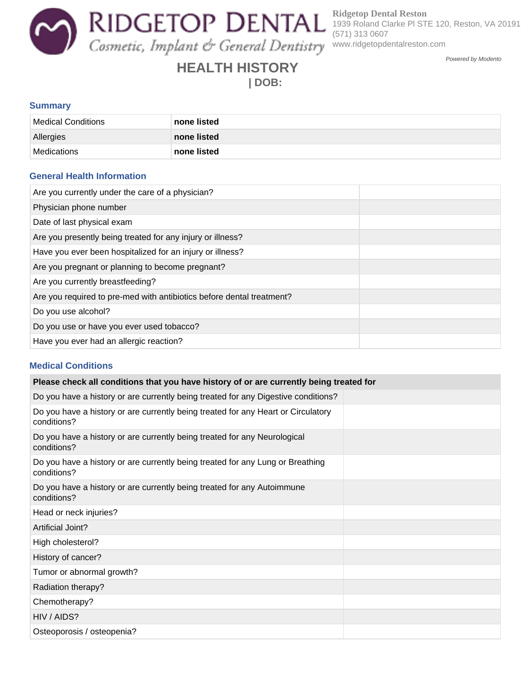**Ridgetop Dental Reston** 1939 Roland Clarke Pl STE 120, Reston, VA 20191 (571) 313 0607 www.ridgetopdentalreston.com

Powered by Modento

# **HEALTH HISTORY | DOB:**

#### **Summary**

| Medical Conditions | none listed |
|--------------------|-------------|
| Allergies          | none listed |
| Medications        | none listed |

#### **General Health Information**

| Are you currently under the care of a physician?                      |  |
|-----------------------------------------------------------------------|--|
| Physician phone number                                                |  |
| Date of last physical exam                                            |  |
| Are you presently being treated for any injury or illness?            |  |
| Have you ever been hospitalized for an injury or illness?             |  |
| Are you pregnant or planning to become pregnant?                      |  |
| Are you currently breastfeeding?                                      |  |
| Are you required to pre-med with antibiotics before dental treatment? |  |
| Do you use alcohol?                                                   |  |
| Do you use or have you ever used tobacco?                             |  |
| Have you ever had an allergic reaction?                               |  |

### **Medical Conditions**

| Please check all conditions that you have history of or are currently being treated for          |  |  |
|--------------------------------------------------------------------------------------------------|--|--|
| Do you have a history or are currently being treated for any Digestive conditions?               |  |  |
| Do you have a history or are currently being treated for any Heart or Circulatory<br>conditions? |  |  |
| Do you have a history or are currently being treated for any Neurological<br>conditions?         |  |  |
| Do you have a history or are currently being treated for any Lung or Breathing<br>conditions?    |  |  |
| Do you have a history or are currently being treated for any Autoimmune<br>conditions?           |  |  |
| Head or neck injuries?                                                                           |  |  |
| Artificial Joint?                                                                                |  |  |
| High cholesterol?                                                                                |  |  |
| History of cancer?                                                                               |  |  |
| Tumor or abnormal growth?                                                                        |  |  |
| Radiation therapy?                                                                               |  |  |
| Chemotherapy?                                                                                    |  |  |
| HIV / AIDS?                                                                                      |  |  |
| Osteoporosis / osteopenia?                                                                       |  |  |